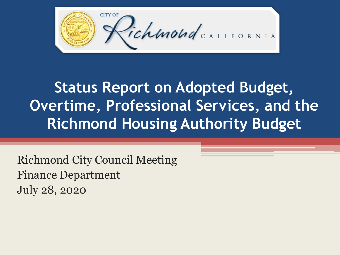

**Status Report on Adopted Budget, Overtime, Professional Services, and the Richmond Housing Authority Budget**

Richmond City Council Meeting Finance Department July 28, 2020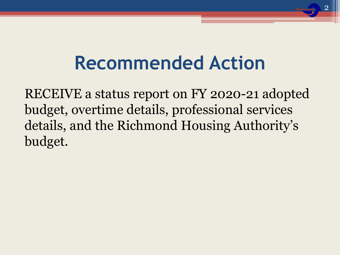## **Recommended Action**

RECEIVE a status report on FY 2020-21 adopted budget, overtime details, professional services details, and the Richmond Housing Authority's budget.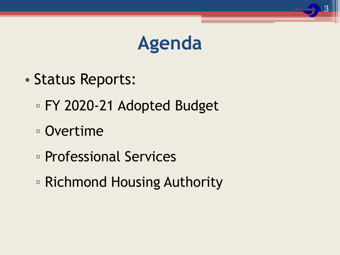## **Agenda**

3

- Status Reports:
	- FY 2020-21 Adopted Budget
	- Overtime
	- Professional Services
	- Richmond Housing Authority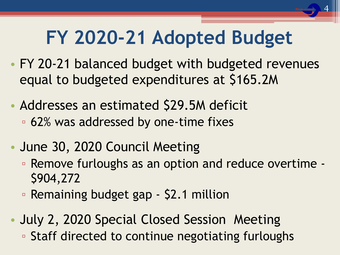# **FY 2020-21 Adopted Budget**

4

- FY 20-21 balanced budget with budgeted revenues equal to budgeted expenditures at \$165.2M
- Addresses an estimated \$29.5M deficit ▫ 62% was addressed by one-time fixes
- June 30, 2020 Council Meeting
	- Remove furloughs as an option and reduce overtime \$904,272
	- Remaining budget gap \$2.1 million
- July 2, 2020 Special Closed Session Meeting ▫ Staff directed to continue negotiating furloughs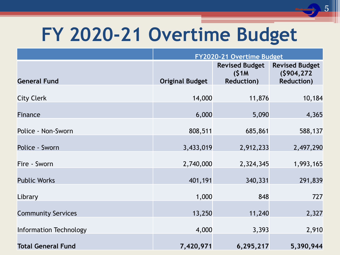# **FY 2020-21 Overtime Budget**

|                               | FY2020-21 Overtime Budget |                                |                                      |
|-------------------------------|---------------------------|--------------------------------|--------------------------------------|
|                               |                           | <b>Revised Budget</b><br>(S1M) | <b>Revised Budget</b><br>(5904, 272) |
| <b>General Fund</b>           | <b>Original Budget</b>    | <b>Reduction)</b>              | <b>Reduction)</b>                    |
| <b>City Clerk</b>             | 14,000                    | 11,876                         | 10,184                               |
| Finance                       | 6,000                     | 5,090                          | 4,365                                |
| Police - Non-Sworn            | 808,511                   | 685,861                        | 588,137                              |
| Police - Sworn                | 3,433,019                 | 2,912,233                      | 2,497,290                            |
| Fire - Sworn                  | 2,740,000                 | 2,324,345                      | 1,993,165                            |
| <b>Public Works</b>           | 401,191                   | 340,331                        | 291,839                              |
| Library                       | 1,000                     | 848                            | 727                                  |
| <b>Community Services</b>     | 13,250                    | 11,240                         | 2,327                                |
| <b>Information Technology</b> | 4,000                     | 3,393                          | 2,910                                |
| <b>Total General Fund</b>     | 7,420,971                 | 6,295,217                      | 5,390,944                            |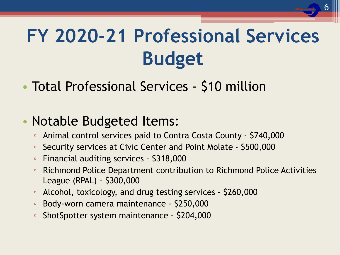# **FY 2020-21 Professional Services Budget**

• Total Professional Services - \$10 million

#### • Notable Budgeted Items:

- Animal control services paid to Contra Costa County \$740,000
- Security services at Civic Center and Point Molate \$500,000
- Financial auditing services \$318,000
- Richmond Police Department contribution to Richmond Police Activities League (RPAL) - \$300,000
- Alcohol, toxicology, and drug testing services \$260,000
- Body-worn camera maintenance \$250,000
- ShotSpotter system maintenance \$204,000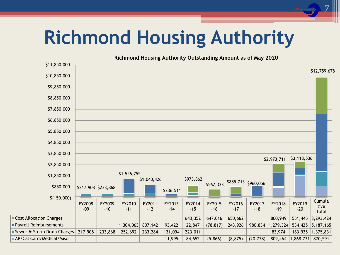# **Richmond Housing Authority**

7

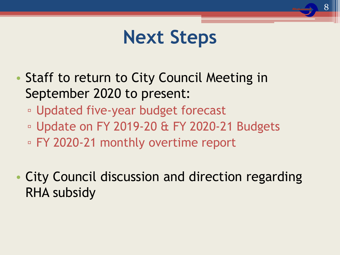## **Next Steps**

- Staff to return to City Council Meeting in September 2020 to present:
	- Updated five-year budget forecast
	- Update on FY 2019-20 & FY 2020-21 Budgets
	- FY 2020-21 monthly overtime report
- City Council discussion and direction regarding RHA subsidy